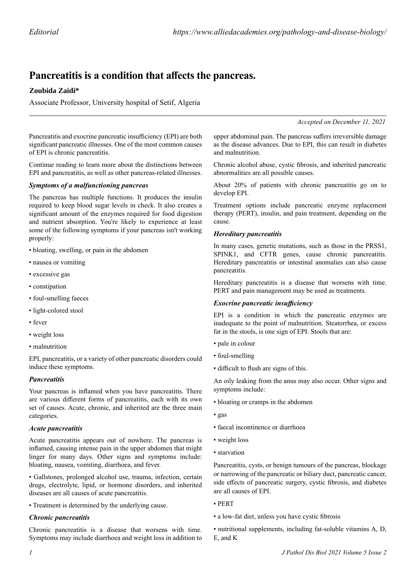# **Pancreatitis is a condition that affects the pancreas.**

# **Zoubida Zaidi\***

Associate Professor, University hospital of Setif, Algeria

*Accepted on December 11, 2021*

Pancreatitis and exocrine pancreatic insufficiency (EPI) are both significant pancreatic illnesses. One of the most common causes of EPI is chronic pancreatitis.

Continue reading to learn more about the distinctions between EPI and pancreatitis, as well as other pancreas-related illnesses.

## *Symptoms of a malfunctioning pancreas*

The pancreas has multiple functions. It produces the insulin required to keep blood sugar levels in check. It also creates a significant amount of the enzymes required for food digestion and nutrient absorption. You're likely to experience at least some of the following symptoms if your pancreas isn't working properly:

- bloating, swelling, or pain in the abdomen
- nausea or vomiting
- excessive gas
- constipation
- foul-smelling faeces
- light-colored stool
- fever
- weight loss
- malnutrition

EPI, pancreatitis, or a variety of other pancreatic disorders could induce these symptoms.

## *Pancreatitis*

Your pancreas is inflamed when you have pancreatitis. There are various different forms of pancreatitis, each with its own set of causes. Acute, chronic, and inherited are the three main categories.

#### *Acute pancreatitis*

Acute pancreatitis appears out of nowhere. The pancreas is inflamed, causing intense pain in the upper abdomen that might linger for many days. Other signs and symptoms include: bloating, nausea, vomiting, diarrhoea, and fever.

• Gallstones, prolonged alcohol use, trauma, infection, certain drugs, electrolyte, lipid, or hormone disorders, and inherited diseases are all causes of acute pancreatitis.

• Treatment is determined by the underlying cause.

#### *Chronic pancreatitis*

Chronic pancreatitis is a disease that worsens with time. Symptoms may include diarrhoea and weight loss in addition to upper abdominal pain. The pancreas suffers irreversible damage as the disease advances. Due to EPI, this can result in diabetes and malnutrition.

Chronic alcohol abuse, cystic fibrosis, and inherited pancreatic abnormalities are all possible causes.

About 20% of patients with chronic pancreatitis go on to develop EPI.

Treatment options include pancreatic enzyme replacement therapy (PERT), insulin, and pain treatment, depending on the cause.

## *Hereditary pancreatitis*

In many cases, genetic mutations, such as those in the PRSS1, SPINK1, and CFTR genes, cause chronic pancreatitis. Hereditary pancreatitis or intestinal anomalies can also cause pancreatitis.

Hereditary pancreatitis is a disease that worsens with time. PERT and pain management may be used as treatments.

## *Exocrine pancreatic insufficiency*

EPI is a condition in which the pancreatic enzymes are inadequate to the point of malnutrition. Steatorrhea, or excess fat in the stools, is one sign of EPI. Stools that are:

- pale in colour
- foul-smelling
- difficult to flush are signs of this.

An oily leaking from the anus may also occur. Other signs and symptoms include:

- bloating or cramps in the abdomen
- gas
- faecal incontinence or diarrhoea
- weight loss
- starvation

Pancreatitis, cysts, or benign tumours of the pancreas, blockage or narrowing of the pancreatic or biliary duct, pancreatic cancer, side effects of pancreatic surgery, cystic fibrosis, and diabetes are all causes of EPI.

- PERT
- a low-fat diet, unless you have cystic fibrosis

• nutritional supplements, including fat-soluble vitamins A, D, E, and K